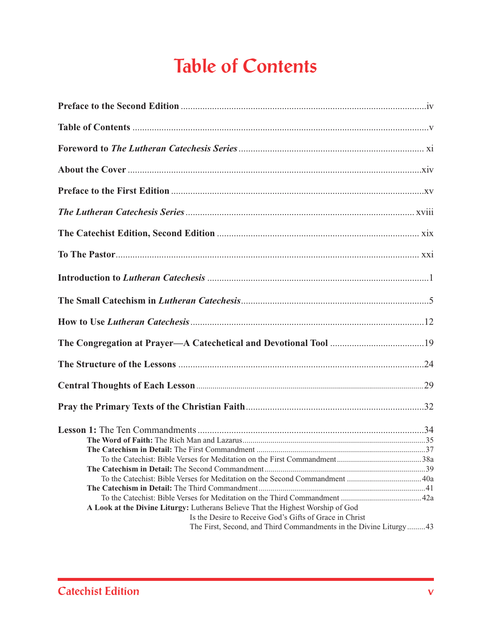## **Table of Contents**

| A Look at the Divine Liturgy: Lutherans Believe That the Highest Worship of God |  |
|---------------------------------------------------------------------------------|--|
| Is the Desire to Receive God's Gifts of Grace in Christ                         |  |
| The First, Second, and Third Commandments in the Divine Liturgy43               |  |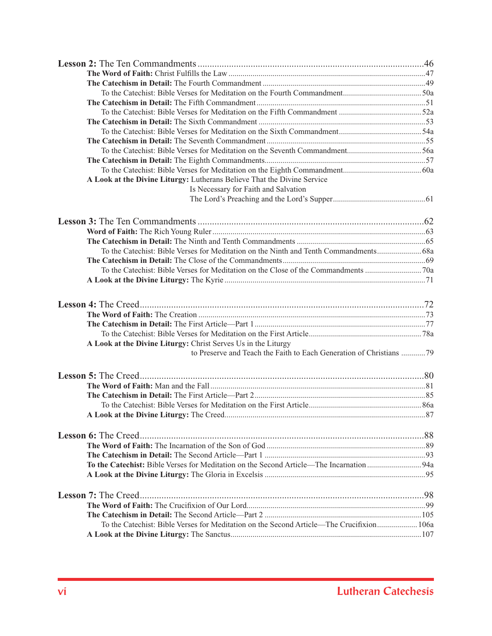| A Look at the Divine Liturgy: Lutherans Believe That the Divine Service                  |  |
|------------------------------------------------------------------------------------------|--|
| Is Necessary for Faith and Salvation                                                     |  |
|                                                                                          |  |
|                                                                                          |  |
|                                                                                          |  |
|                                                                                          |  |
|                                                                                          |  |
|                                                                                          |  |
|                                                                                          |  |
|                                                                                          |  |
|                                                                                          |  |
|                                                                                          |  |
|                                                                                          |  |
|                                                                                          |  |
|                                                                                          |  |
|                                                                                          |  |
|                                                                                          |  |
| A Look at the Divine Liturgy: Christ Serves Us in the Liturgy                            |  |
| to Preserve and Teach the Faith to Each Generation of Christians 79                      |  |
|                                                                                          |  |
|                                                                                          |  |
|                                                                                          |  |
|                                                                                          |  |
|                                                                                          |  |
|                                                                                          |  |
|                                                                                          |  |
|                                                                                          |  |
|                                                                                          |  |
|                                                                                          |  |
|                                                                                          |  |
|                                                                                          |  |
|                                                                                          |  |
|                                                                                          |  |
|                                                                                          |  |
|                                                                                          |  |
|                                                                                          |  |
| To the Catechist: Bible Verses for Meditation on the Second Article—The Crucifixion 106a |  |
|                                                                                          |  |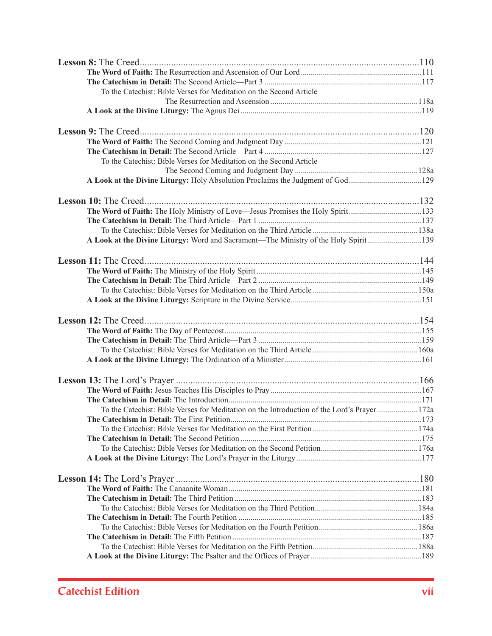| To the Catechist: Bible Verses for Meditation on the Second Article                         |  |
|---------------------------------------------------------------------------------------------|--|
|                                                                                             |  |
|                                                                                             |  |
|                                                                                             |  |
|                                                                                             |  |
|                                                                                             |  |
|                                                                                             |  |
| To the Catechist: Bible Verses for Meditation on the Second Article                         |  |
|                                                                                             |  |
| A Look at the Divine Liturgy: Holy Absolution Proclaims the Judgment of God129              |  |
|                                                                                             |  |
| The Word of Faith: The Holy Ministry of Love-Jesus Promises the Holy Spirit133              |  |
|                                                                                             |  |
|                                                                                             |  |
| A Look at the Divine Liturgy: Word and Sacrament—The Ministry of the Holy Spirit139         |  |
|                                                                                             |  |
|                                                                                             |  |
|                                                                                             |  |
|                                                                                             |  |
|                                                                                             |  |
|                                                                                             |  |
|                                                                                             |  |
|                                                                                             |  |
|                                                                                             |  |
|                                                                                             |  |
|                                                                                             |  |
|                                                                                             |  |
|                                                                                             |  |
|                                                                                             |  |
|                                                                                             |  |
| To the Catechist: Bible Verses for Meditation on the Introduction of the Lord's Prayer 172a |  |
|                                                                                             |  |
|                                                                                             |  |
|                                                                                             |  |
|                                                                                             |  |
|                                                                                             |  |
|                                                                                             |  |
|                                                                                             |  |
|                                                                                             |  |
|                                                                                             |  |
|                                                                                             |  |
|                                                                                             |  |
|                                                                                             |  |
|                                                                                             |  |
|                                                                                             |  |
|                                                                                             |  |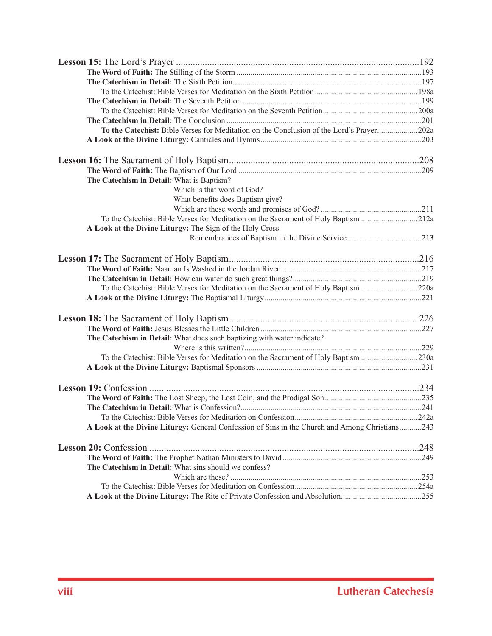| To the Catechist: Bible Verses for Meditation on the Conclusion of the Lord's Prayer202a       |  |
|------------------------------------------------------------------------------------------------|--|
|                                                                                                |  |
|                                                                                                |  |
|                                                                                                |  |
| The Catechism in Detail: What is Baptism?                                                      |  |
| Which is that word of God?                                                                     |  |
| What benefits does Baptism give?                                                               |  |
|                                                                                                |  |
| To the Catechist: Bible Verses for Meditation on the Sacrament of Holy Baptism 212a            |  |
| A Look at the Divine Liturgy: The Sign of the Holy Cross                                       |  |
|                                                                                                |  |
|                                                                                                |  |
|                                                                                                |  |
|                                                                                                |  |
| To the Catechist: Bible Verses for Meditation on the Sacrament of Holy Baptism 220a            |  |
|                                                                                                |  |
|                                                                                                |  |
|                                                                                                |  |
| The Catechism in Detail: What does such baptizing with water indicate?                         |  |
|                                                                                                |  |
| To the Catechist: Bible Verses for Meditation on the Sacrament of Holy Baptism 230a            |  |
|                                                                                                |  |
|                                                                                                |  |
|                                                                                                |  |
|                                                                                                |  |
|                                                                                                |  |
| A Look at the Divine Liturgy: General Confession of Sins in the Church and Among Christians243 |  |
|                                                                                                |  |
|                                                                                                |  |
| The Catechism in Detail: What sins should we confess?                                          |  |
|                                                                                                |  |
|                                                                                                |  |
| A Look at the Divine Liturgy: The Rite of Private Confession and Absolution255                 |  |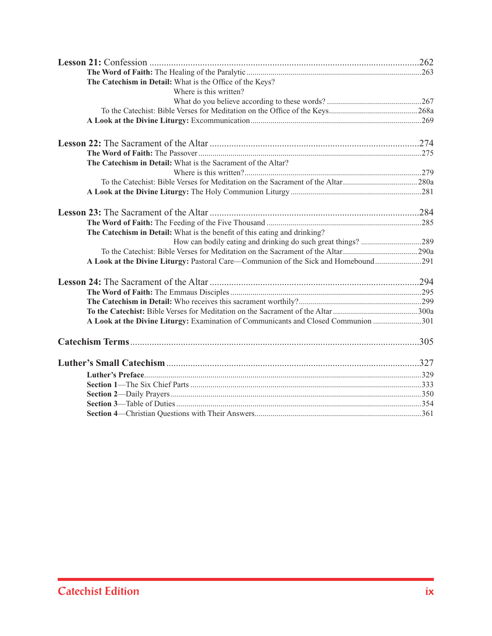| The Catechism in Detail: What is the Office of the Keys?                           |  |
|------------------------------------------------------------------------------------|--|
| Where is this written?                                                             |  |
|                                                                                    |  |
|                                                                                    |  |
|                                                                                    |  |
|                                                                                    |  |
|                                                                                    |  |
| The Catechism in Detail: What is the Sacrament of the Altar?                       |  |
|                                                                                    |  |
|                                                                                    |  |
|                                                                                    |  |
|                                                                                    |  |
|                                                                                    |  |
| The Catechism in Detail: What is the benefit of this eating and drinking?          |  |
|                                                                                    |  |
|                                                                                    |  |
| A Look at the Divine Liturgy: Pastoral Care—Communion of the Sick and Homebound291 |  |
|                                                                                    |  |
|                                                                                    |  |
|                                                                                    |  |
|                                                                                    |  |
| A Look at the Divine Liturgy: Examination of Communicants and Closed Communion 301 |  |
|                                                                                    |  |
|                                                                                    |  |
|                                                                                    |  |
|                                                                                    |  |
|                                                                                    |  |
|                                                                                    |  |
|                                                                                    |  |